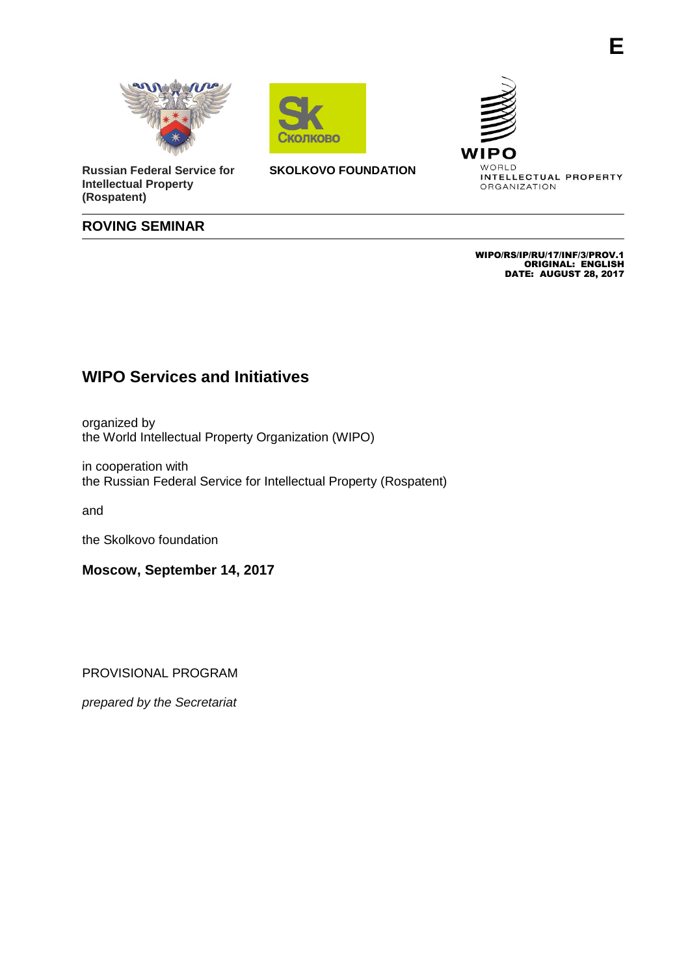



**Russian Federal Service for Intellectual Property (Rospatent)**

**SKOLKOVO FOUNDATION** 



ORGANIZATION

## **ROVING SEMINAR**

 WIPO/RS/IP/RU/17/INF/3/PROV.1 ORIGINAL: ENGLISH DATE: AUGUST 28, 2017

## **WIPO Services and Initiatives**

organized by the World Intellectual Property Organization (WIPO)

in cooperation with the Russian Federal Service for Intellectual Property (Rospatent)

and

the Skolkovo foundation

**Moscow, September 14, 2017**

PROVISIONAL PROGRAM

*prepared by the Secretariat*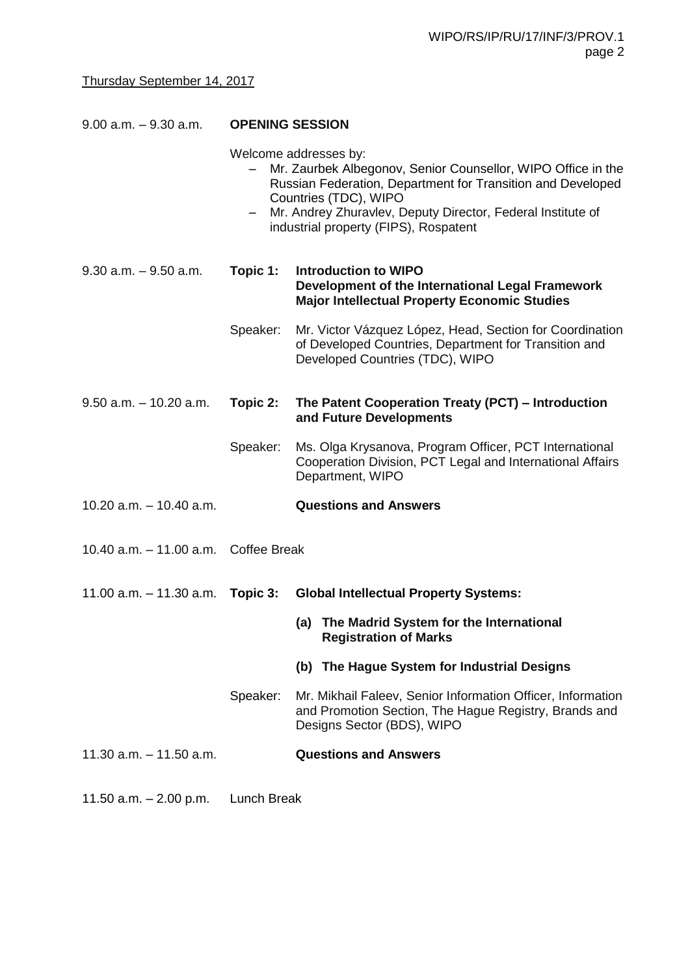| $9.00$ a.m. $-9.30$ a.m.             | <b>OPENING SESSION</b> |                                                                                                                                                                                                                                                                                       |
|--------------------------------------|------------------------|---------------------------------------------------------------------------------------------------------------------------------------------------------------------------------------------------------------------------------------------------------------------------------------|
|                                      |                        | Welcome addresses by:<br>Mr. Zaurbek Albegonov, Senior Counsellor, WIPO Office in the<br>Russian Federation, Department for Transition and Developed<br>Countries (TDC), WIPO<br>Mr. Andrey Zhuravlev, Deputy Director, Federal Institute of<br>industrial property (FIPS), Rospatent |
| $9.30$ a.m. $-9.50$ a.m.             | Topic 1:               | <b>Introduction to WIPO</b><br>Development of the International Legal Framework<br><b>Major Intellectual Property Economic Studies</b>                                                                                                                                                |
|                                      | Speaker:               | Mr. Victor Vázquez López, Head, Section for Coordination<br>of Developed Countries, Department for Transition and<br>Developed Countries (TDC), WIPO                                                                                                                                  |
| $9.50$ a.m. $-10.20$ a.m.            | Topic 2:               | The Patent Cooperation Treaty (PCT) - Introduction<br>and Future Developments                                                                                                                                                                                                         |
|                                      | Speaker:               | Ms. Olga Krysanova, Program Officer, PCT International<br>Cooperation Division, PCT Legal and International Affairs<br>Department, WIPO                                                                                                                                               |
| 10.20 $a.m. - 10.40 a.m.$            |                        | <b>Questions and Answers</b>                                                                                                                                                                                                                                                          |
| 10.40 a.m. - 11.00 a.m. Coffee Break |                        |                                                                                                                                                                                                                                                                                       |
| $11.00$ a.m. $-11.30$ a.m.           | Topic 3:               | <b>Global Intellectual Property Systems:</b>                                                                                                                                                                                                                                          |
|                                      |                        | (a) The Madrid System for the International<br><b>Registration of Marks</b>                                                                                                                                                                                                           |
|                                      |                        | (b) The Hague System for Industrial Designs                                                                                                                                                                                                                                           |
|                                      | Speaker:               | Mr. Mikhail Faleev, Senior Information Officer, Information<br>and Promotion Section, The Hague Registry, Brands and<br>Designs Sector (BDS), WIPO                                                                                                                                    |
| 11.30 $a.m. - 11.50 a.m.$            |                        | <b>Questions and Answers</b>                                                                                                                                                                                                                                                          |

11.50 a.m. – 2.00 p.m. Lunch Break